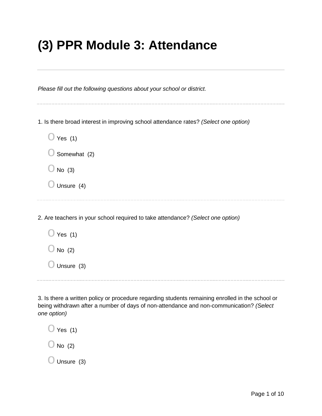## **(3) PPR Module 3: Attendance**

*Please fill out the following questions about your school or district.*

1. Is there broad interest in improving school attendance rates? *(Select one option)*

| $\bigcup$ Yes (1)       |  |
|-------------------------|--|
| $\bigcirc$ Somewhat (2) |  |
| $\bigcirc$ No (3)       |  |
| $\bigcirc$ Unsure (4)   |  |
|                         |  |

2. Are teachers in your school required to take attendance? *(Select one option)*

| $\bigcirc$ Yes (1)    |
|-----------------------|
| $\bigcirc$ No (2)     |
| $\bigcirc$ Unsure (3) |
|                       |

3. Is there a written policy or procedure regarding students remaining enrolled in the school or being withdrawn after a number of days of non-attendance and non-communication? *(Select one option)*

 $\bigcirc$  Yes (1)  $\bigcirc$  No (2)  $\bigcirc$  Unsure (3)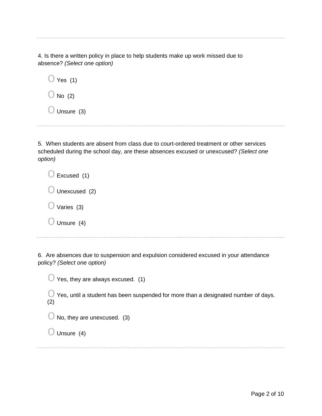4. Is there a written policy in place to help students make up work missed due to absence? *(Select one option)*

 $\bigcirc$  Yes (1)  $\bigcirc$  No (2)

 $\bigcirc$  Unsure (3)

5. When students are absent from class due to court-ordered treatment or other services scheduled during the school day, are these absences excused or unexcused? *(Select one option)*

| $\bigcirc$ Excused (1)   |
|--------------------------|
| $\bigcirc$ Unexcused (2) |
| $\bigcirc$ Varies (3)    |
| $\bigcirc$ Unsure (4)    |

6. Are absences due to suspension and expulsion considered excused in your attendance policy? *(Select one option)*

 $\bigcirc$  Yes, they are always excused. (1)

 $\bigcirc$  Yes, until a student has been suspended for more than a designated number of days. (2)

 $\bigcirc$  No, they are unexcused. (3)

 $\bigcirc$  Unsure (4)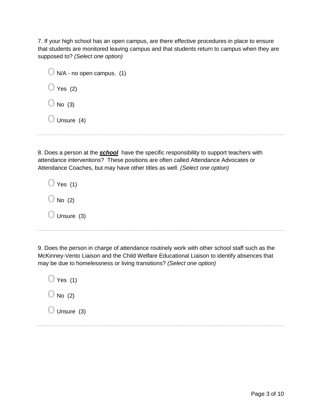7. If your high school has an open campus, are there effective procedures in place to ensure that students are monitored leaving campus and that students return to campus when they are supposed to? *(Select one option)*

| $\bigcirc$ N/A - no open campus. (1) |  |  |
|--------------------------------------|--|--|
| $\bigcirc$ Yes (2)                   |  |  |
| $\bigcirc$ No (3)                    |  |  |
| $\bigcirc$ Unsure (4)                |  |  |

8. Does a person at the *school* have the specific responsibility to support teachers with attendance interventions? These positions are often called Attendance Advocates or Attendance Coaches, but may have other titles as well. *(Select one option)*

| Yes (1)              |  |
|----------------------|--|
| $\bigcup$ No (2)     |  |
| $\bigcup$ Unsure (3) |  |

9. Does the person in charge of attendance routinely work with other school staff such as the McKinney-Vento Liaison and the Child Welfare Educational Liaison to identify absences that may be due to homelessness or living transitions? *(Select one option)*

 $\bigcirc$  Yes (1)  $\bigcirc$  No (2)  $\bigcirc$  Unsure (3)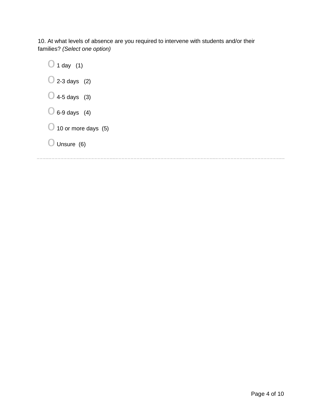10. At what levels of absence are you required to intervene with students and/or their families? *(Select one option)*

 $\bigcirc$  1 day (1)  $\bigcirc$  2-3 days (2)  $\bigcirc$  4-5 days (3)  $\bigcirc$  6-9 days (4)  $\bigcirc$  10 or more days (5)  $\bigcirc$  Unsure (6)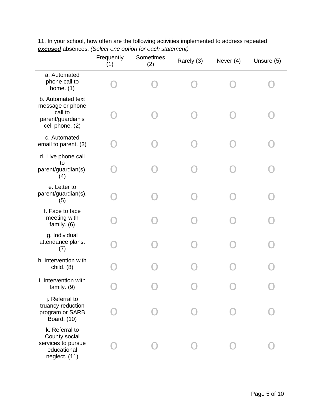|                                                                                          | Frequently<br>(1) | Sometimes<br>(2) | Rarely (3) | Never (4) | Unsure (5) |
|------------------------------------------------------------------------------------------|-------------------|------------------|------------|-----------|------------|
| a. Automated<br>phone call to<br>home. $(1)$                                             |                   |                  |            |           |            |
| b. Automated text<br>message or phone<br>call to<br>parent/guardian's<br>cell phone. (2) |                   |                  |            |           |            |
| c. Automated<br>email to parent. (3)                                                     |                   |                  |            |           |            |
| d. Live phone call<br>to<br>parent/guardian(s).<br>(4)                                   |                   |                  |            |           |            |
| e. Letter to<br>parent/guardian(s).<br>(5)                                               |                   |                  |            |           |            |
| f. Face to face<br>meeting with<br>family. $(6)$                                         |                   |                  |            |           |            |
| g. Individual<br>attendance plans.<br>(7)                                                |                   |                  |            |           |            |
| h. Intervention with<br>child. $(8)$                                                     |                   |                  |            |           |            |
| i. Intervention with<br>family. (9)                                                      |                   |                  |            |           |            |
| j. Referral to<br>truancy reduction<br>program or SARB<br>Board. (10)                    |                   |                  |            |           |            |
| k. Referral to<br>County social<br>services to pursue<br>educational<br>neglect. (11)    |                   |                  |            |           |            |

11. In your school, how often are the following activities implemented to address repeated *excused* absences. *(Select one option for each statement)*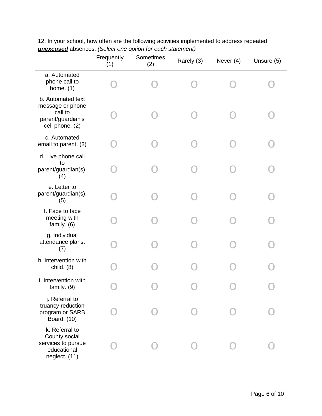|                                                                                          | Frequently<br>(1) | Sometimes<br>(2) | Rarely (3) | Never (4) | Unsure (5) |
|------------------------------------------------------------------------------------------|-------------------|------------------|------------|-----------|------------|
| a. Automated<br>phone call to<br>home. $(1)$                                             |                   |                  |            |           |            |
| b. Automated text<br>message or phone<br>call to<br>parent/guardian's<br>cell phone. (2) |                   |                  |            |           |            |
| c. Automated<br>email to parent. (3)                                                     |                   |                  |            |           |            |
| d. Live phone call<br>to<br>parent/guardian(s).<br>(4)                                   |                   |                  |            |           |            |
| e. Letter to<br>parent/guardian(s).<br>(5)                                               |                   |                  |            |           |            |
| f. Face to face<br>meeting with<br>family. (6)                                           |                   |                  |            |           |            |
| g. Individual<br>attendance plans.<br>(7)                                                |                   |                  |            |           |            |
| h. Intervention with<br>child. $(8)$                                                     |                   |                  |            |           |            |
| i. Intervention with<br>family. (9)                                                      |                   |                  |            |           |            |
| j. Referral to<br>truancy reduction<br>program or SARB<br>Board. (10)                    |                   |                  |            |           |            |
| k. Referral to<br>County social<br>services to pursue<br>educational<br>neglect. (11)    |                   |                  |            |           |            |

12. In your school, how often are the following activities implemented to address repeated *unexcused* absences. *(Select one option for each statement)*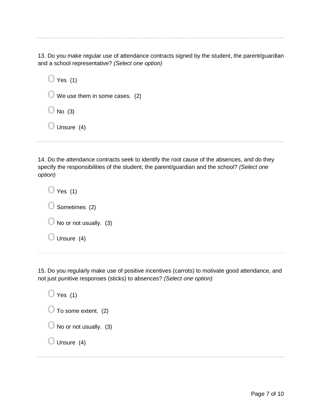13. Do you make regular use of attendance contracts signed by the student, the parent/guardian and a school representative? *(Select one option)*

 $\bigcirc$  Yes (1)  $\bigcirc$  We use them in some cases. (2)  $\bigcirc$  No (3)  $\bigcirc$  Unsure (4)

14. Do the attendance contracts seek to identify the root cause of the absences, and do they specify the responsibilities of the student, the parent/guardian and the school? *(Select one option)*

 $\bigcirc$  Yes (1)  $\bigcirc$  Sometimes (2)  $\bigcirc$  No or not usually. (3)  $\bigcirc$  Unsure (4)

15. Do you regularly make use of positive incentives (carrots) to motivate good attendance, and not just punitive responses (sticks) to absences? *(Select one option)*

 $\bigcirc$  Yes (1)  $\bigcirc$  To some extent. (2)  $\bigcirc$  No or not usually. (3)  $\bigcirc$  Unsure (4)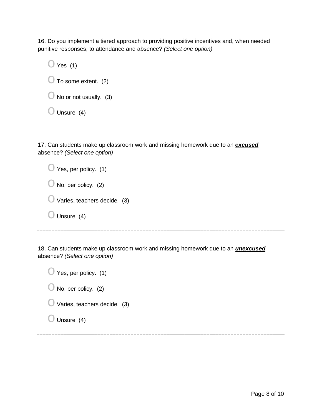16. Do you implement a tiered approach to providing positive incentives and, when needed punitive responses, to attendance and absence? *(Select one option)*

| Yes $(1)$<br>$\cup$               |  |
|-----------------------------------|--|
| $\bigcirc$ To some extent. (2)    |  |
| $\bigcirc$ No or not usually. (3) |  |
| $\bigcirc$ Unsure (4)             |  |
|                                   |  |

17. Can students make up classroom work and missing homework due to an *excused* absence? *(Select one option)*

| $\bigcirc$ Yes, per policy. (1)         |
|-----------------------------------------|
| $\bigcirc$ No, per policy. (2)          |
| $\bigcirc$ Varies, teachers decide. (3) |
| Unsure (4)                              |
|                                         |

18. Can students make up classroom work and missing homework due to an *unexcused* absence? *(Select one option)*

| $\bigcup$ Yes, per policy. (1)      |  |
|-------------------------------------|--|
| $\bigcirc$ No, per policy. (2)      |  |
| $\cup$ Varies, teachers decide. (3) |  |
| $\bigcup$ Unsure (4)                |  |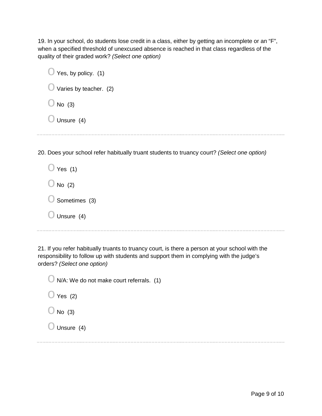19. In your school, do students lose credit in a class, either by getting an incomplete or an "F", when a specified threshold of unexcused absence is reached in that class regardless of the quality of their graded work? *(Select one option)*

| $\bigcirc$ Yes, by policy. (1)    |
|-----------------------------------|
| $\bigcirc$ Varies by teacher. (2) |
| No $(3)$                          |
| Unsure (4)<br>$\bigcup$           |
|                                   |

20. Does your school refer habitually truant students to truancy court? *(Select one option)*

| $\bigcup$ Yes (1)        |
|--------------------------|
| $\bigcup$ No (2)         |
| $\bigcirc$ Sometimes (3) |
| $\bigcirc$ Unsure (4)    |

21. If you refer habitually truants to truancy court, is there a person at your school with the responsibility to follow up with students and support them in complying with the judge's orders? *(Select one option)*

 $\bigcirc$  N/A: We do not make court referrals. (1)

 $\bigcirc$  Yes (2)

 $\bigcirc$  No (3)

 $\bigcirc$  Unsure (4)